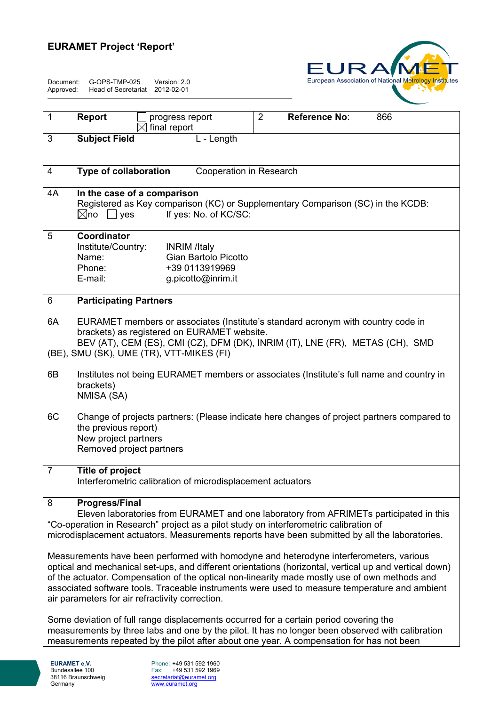## **EURAMET Project 'Report'**

Document: G-OPS-TMP-025 Version: 2.0 Approved: Head of Secretariat 2012-02-01



| $\mathbf 1$                                                                                                                                                                                                                                                                                                                                                                                                                                           | 2<br>Reference No:<br><b>Report</b><br>866<br>progress report                                                                                                                                                    |  |  |  |  |  |  |
|-------------------------------------------------------------------------------------------------------------------------------------------------------------------------------------------------------------------------------------------------------------------------------------------------------------------------------------------------------------------------------------------------------------------------------------------------------|------------------------------------------------------------------------------------------------------------------------------------------------------------------------------------------------------------------|--|--|--|--|--|--|
|                                                                                                                                                                                                                                                                                                                                                                                                                                                       | final report                                                                                                                                                                                                     |  |  |  |  |  |  |
| 3                                                                                                                                                                                                                                                                                                                                                                                                                                                     | <b>Subject Field</b><br>L - Length                                                                                                                                                                               |  |  |  |  |  |  |
|                                                                                                                                                                                                                                                                                                                                                                                                                                                       |                                                                                                                                                                                                                  |  |  |  |  |  |  |
| 4                                                                                                                                                                                                                                                                                                                                                                                                                                                     | Type of collaboration<br>Cooperation in Research                                                                                                                                                                 |  |  |  |  |  |  |
| 4A                                                                                                                                                                                                                                                                                                                                                                                                                                                    | In the case of a comparison<br>Registered as Key comparison (KC) or Supplementary Comparison (SC) in the KCDB:<br>If yes: No. of KC/SC:<br>$\boxtimes$ no $\Box$<br>yes                                          |  |  |  |  |  |  |
| 5                                                                                                                                                                                                                                                                                                                                                                                                                                                     | Coordinator<br>Institute/Country:<br><b>INRIM</b> /Italy<br>Name:<br>Gian Bartolo Picotto<br>Phone:<br>+39 0113919969<br>E-mail:<br>g.picotto@inrim.it                                                           |  |  |  |  |  |  |
| 6                                                                                                                                                                                                                                                                                                                                                                                                                                                     | <b>Participating Partners</b>                                                                                                                                                                                    |  |  |  |  |  |  |
| 6A                                                                                                                                                                                                                                                                                                                                                                                                                                                    | EURAMET members or associates (Institute's standard acronym with country code in<br>brackets) as registered on EURAMET website.<br>BEV (AT), CEM (ES), CMI (CZ), DFM (DK), INRIM (IT), LNE (FR), METAS (CH), SMD |  |  |  |  |  |  |
|                                                                                                                                                                                                                                                                                                                                                                                                                                                       | (BE), SMU (SK), UME (TR), VTT-MIKES (FI)                                                                                                                                                                         |  |  |  |  |  |  |
| 6B                                                                                                                                                                                                                                                                                                                                                                                                                                                    | Institutes not being EURAMET members or associates (Institute's full name and country in<br>brackets)<br>NMISA (SA)                                                                                              |  |  |  |  |  |  |
| 6C                                                                                                                                                                                                                                                                                                                                                                                                                                                    | Change of projects partners: (Please indicate here changes of project partners compared to<br>the previous report)<br>New project partners<br>Removed project partners                                           |  |  |  |  |  |  |
| $\overline{7}$<br>Title of project<br>Interferometric calibration of microdisplacement actuators                                                                                                                                                                                                                                                                                                                                                      |                                                                                                                                                                                                                  |  |  |  |  |  |  |
| 8<br><b>Progress/Final</b><br>Eleven laboratories from EURAMET and one laboratory from AFRIMETs participated in this<br>"Co-operation in Research" project as a pilot study on interferometric calibration of<br>microdisplacement actuators. Measurements reports have been submitted by all the laboratories.                                                                                                                                       |                                                                                                                                                                                                                  |  |  |  |  |  |  |
| Measurements have been performed with homodyne and heterodyne interferometers, various<br>optical and mechanical set-ups, and different orientations (horizontal, vertical up and vertical down)<br>of the actuator. Compensation of the optical non-linearity made mostly use of own methods and<br>associated software tools. Traceable instruments were used to measure temperature and ambient<br>air parameters for air refractivity correction. |                                                                                                                                                                                                                  |  |  |  |  |  |  |
| Some deviation of full range displacements occurred for a certain period covering the<br>measurements by three labs and one by the pilot. It has no longer been observed with calibration<br>measurements repeated by the pilot after about one year. A compensation for has not been                                                                                                                                                                 |                                                                                                                                                                                                                  |  |  |  |  |  |  |

Phone: +49 531 592 1960 Fax: +49 531 592 1969 secretariat@euramet.org www.euramet.org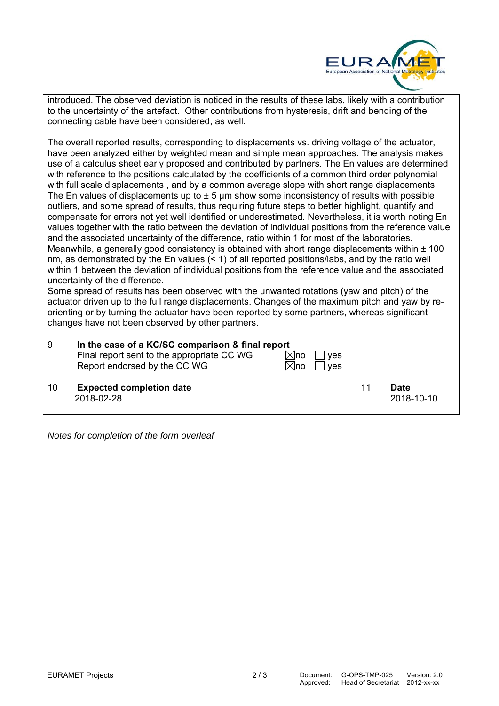

introduced. The observed deviation is noticed in the results of these labs, likely with a contribution to the uncertainty of the artefact. Other contributions from hysteresis, drift and bending of the connecting cable have been considered, as well.

The overall reported results, corresponding to displacements vs. driving voltage of the actuator, have been analyzed either by weighted mean and simple mean approaches. The analysis makes use of a calculus sheet early proposed and contributed by partners. The En values are determined with reference to the positions calculated by the coefficients of a common third order polynomial with full scale displacements, and by a common average slope with short range displacements. The En values of displacements up to  $\pm$  5 µm show some inconsistency of results with possible outliers, and some spread of results, thus requiring future steps to better highlight, quantify and compensate for errors not yet well identified or underestimated. Nevertheless, it is worth noting En values together with the ratio between the deviation of individual positions from the reference value and the associated uncertainty of the difference, ratio within 1 for most of the laboratories. Meanwhile, a generally good consistency is obtained with short range displacements within  $\pm$  100 nm, as demonstrated by the En values (< 1) of all reported positions/labs, and by the ratio well within 1 between the deviation of individual positions from the reference value and the associated uncertainty of the difference.

Some spread of results has been observed with the unwanted rotations (yaw and pitch) of the actuator driven up to the full range displacements. Changes of the maximum pitch and yaw by reorienting or by turning the actuator have been reported by some partners, whereas significant changes have not been observed by other partners.

| 9  | In the case of a KC/SC comparison & final report<br>Final report sent to the appropriate CC WG<br>$\boxtimes$ no<br>Report endorsed by the CC WG<br>$\times$ lno | ves<br>ves |                    |  |
|----|------------------------------------------------------------------------------------------------------------------------------------------------------------------|------------|--------------------|--|
| 10 | <b>Expected completion date</b><br>2018-02-28                                                                                                                    |            | Date<br>2018-10-10 |  |

*Notes for completion of the form overleaf*